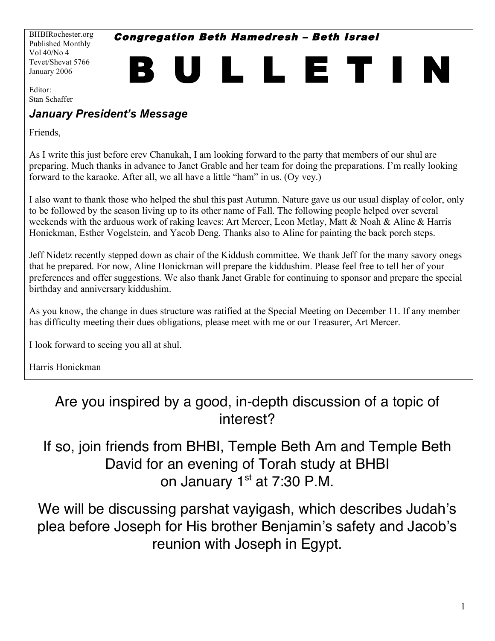BHBIRochester.org Published Monthly Vol 40/No 4 Tevet/Shevat 5766 January 2006

Congregation Beth Hamedresh – Beth Israel

B U L L E T I N

Editor: Stan Schaffer

### *January President's Message*

Friends,

As I write this just before erev Chanukah, I am looking forward to the party that members of our shul are preparing. Much thanks in advance to Janet Grable and her team for doing the preparations. I'm really looking forward to the karaoke. After all, we all have a little "ham" in us. (Oy vey.)

I also want to thank those who helped the shul this past Autumn. Nature gave us our usual display of color, only to be followed by the season living up to its other name of Fall. The following people helped over several weekends with the arduous work of raking leaves: Art Mercer, Leon Metlay, Matt & Noah & Aline & Harris Honickman, Esther Vogelstein, and Yacob Deng. Thanks also to Aline for painting the back porch steps.

Jeff Nidetz recently stepped down as chair of the Kiddush committee. We thank Jeff for the many savory onegs that he prepared. For now, Aline Honickman will prepare the kiddushim. Please feel free to tell her of your preferences and offer suggestions. We also thank Janet Grable for continuing to sponsor and prepare the special birthday and anniversary kiddushim.

As you know, the change in dues structure was ratified at the Special Meeting on December 11. If any member has difficulty meeting their dues obligations, please meet with me or our Treasurer, Art Mercer.

I look forward to seeing you all at shul.

Harris Honickman

# Are you inspired by a good, in-depth discussion of a topic of interest?

# If so, join friends from BHBI, Temple Beth Am and Temple Beth David for an evening of Torah study at BHBI on January  $1<sup>st</sup>$  at 7:30 P.M.

We will be discussing parshat vavigash, which describes Judah's plea before Joseph for His brother Benjamin's safety and Jacob's reunion with Joseph in Egypt.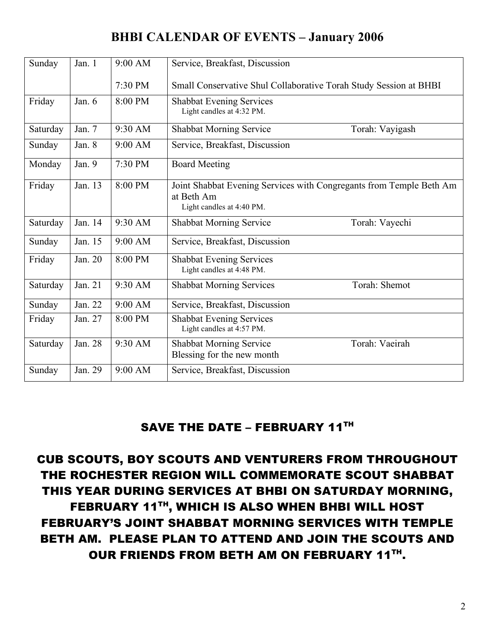# **BHBI CALENDAR OF EVENTS – January 2006**

| Sunday   | Jan. 1   | 9:00 AM | Service, Breakfast, Discussion                                                                                 |  |  |  |  |
|----------|----------|---------|----------------------------------------------------------------------------------------------------------------|--|--|--|--|
|          |          |         |                                                                                                                |  |  |  |  |
|          |          | 7:30 PM | Small Conservative Shul Collaborative Torah Study Session at BHBI                                              |  |  |  |  |
| Friday   | Jan. $6$ | 8:00 PM | <b>Shabbat Evening Services</b><br>Light candles at 4:32 PM.                                                   |  |  |  |  |
| Saturday | Jan. 7   | 9:30 AM | Shabbat Morning Service<br>Torah: Vayigash                                                                     |  |  |  |  |
| Sunday   | Jan. 8   | 9:00 AM | Service, Breakfast, Discussion                                                                                 |  |  |  |  |
| Monday   | Jan. 9   | 7:30 PM | <b>Board Meeting</b>                                                                                           |  |  |  |  |
| Friday   | Jan. 13  | 8:00 PM | Joint Shabbat Evening Services with Congregants from Temple Beth Am<br>at Beth Am<br>Light candles at 4:40 PM. |  |  |  |  |
| Saturday | Jan. 14  | 9:30 AM | Shabbat Morning Service<br>Torah: Vayechi                                                                      |  |  |  |  |
| Sunday   | Jan. 15  | 9:00 AM | Service, Breakfast, Discussion                                                                                 |  |  |  |  |
| Friday   | Jan. 20  | 8:00 PM | <b>Shabbat Evening Services</b><br>Light candles at 4:48 PM.                                                   |  |  |  |  |
| Saturday | Jan. 21  | 9:30 AM | <b>Shabbat Morning Services</b><br>Torah: Shemot                                                               |  |  |  |  |
| Sunday   | Jan. 22  | 9:00 AM | Service, Breakfast, Discussion                                                                                 |  |  |  |  |
| Friday   | Jan. 27  | 8:00 PM | <b>Shabbat Evening Services</b><br>Light candles at 4:57 PM.                                                   |  |  |  |  |
| Saturday | Jan. 28  | 9:30 AM | Torah: Vaeirah<br><b>Shabbat Morning Service</b><br>Blessing for the new month                                 |  |  |  |  |
| Sunday   | Jan. 29  | 9:00 AM | Service, Breakfast, Discussion                                                                                 |  |  |  |  |

### SAVE THE DATE - FEBRUARY 11TH

CUB SCOUTS, BOY SCOUTS AND VENTURERS FROM THROUGHOUT THE ROCHESTER REGION WILL COMMEMORATE SCOUT SHABBAT THIS YEAR DURING SERVICES AT BHBI ON SATURDAY MORNING, FEBRUARY 11TH , WHICH IS ALSO WHEN BHBI WILL HOST FEBRUARY'S JOINT SHABBAT MORNING SERVICES WITH TEMPLE BETH AM. PLEASE PLAN TO ATTEND AND JOIN THE SCOUTS AND OUR FRIENDS FROM BETH AM ON FEBRUARY 11TH.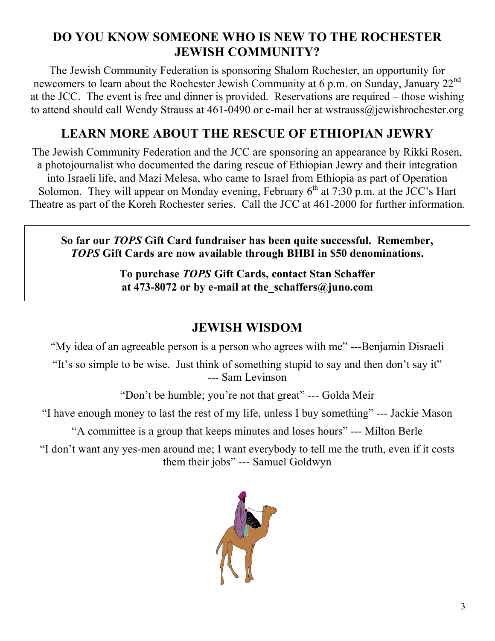# **DO YOU KNOW SOMEONE WHO IS NEW TO THE ROCHESTER JEWISH COMMUNITY?**

The Jewish Community Federation is sponsoring Shalom Rochester, an opportunity for newcomers to learn about the Rochester Jewish Community at 6 p.m. on Sunday, January 22<sup>nd</sup> at the JCC. The event is free and dinner is provided. Reservations are required – those wishing to attend should call Wendy Strauss at 461-0490 or e-mail her at wstrauss@jewishrochester.org

## **LEARN MORE ABOUT THE RESCUE OF ETHIOPIAN JEWRY**

The Jewish Community Federation and the JCC are sponsoring an appearance by Rikki Rosen, a photojournalist who documented the daring rescue of Ethiopian Jewry and their integration into Israeli life, and Mazi Melesa, who came to Israel from Ethiopia as part of Operation Solomon. They will appear on Monday evening, February  $6<sup>th</sup>$  at 7:30 p.m. at the JCC's Hart Theatre as part of the Koreh Rochester series. Call the JCC at 461-2000 for further information.

**So far our** *TOPS* **Gift Card fundraiser has been quite successful. Remember,** *TOPS* **Gift Cards are now available through BHBI in \$50 denominations.**

> **To purchase** *TOPS* **Gift Cards, contact Stan Schaffer at 473-8072 or by e-mail at the\_schaffers@juno.com**

# **JEWISH WISDOM**

"My idea of an agreeable person is a person who agrees with me" ---Benjamin Disraeli

"It's so simple to be wise. Just think of something stupid to say and then don't say it" --- Sam Levinson

"Don't be humble; you're not that great" --- Golda Meir

"I have enough money to last the rest of my life, unless I buy something" --- Jackie Mason

"A committee is a group that keeps minutes and loses hours" --- Milton Berle

"I don't want any yes-men around me; I want everybody to tell me the truth, even if it costs them their jobs" --- Samuel Goldwyn

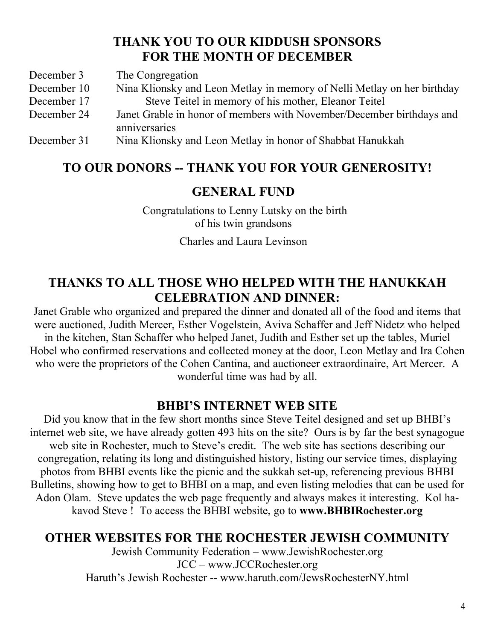### **THANK YOU TO OUR KIDDUSH SPONSORS FOR THE MONTH OF DECEMBER**

December 3 The Congregation December 10 Nina Klionsky and Leon Metlay in memory of Nelli Metlay on her birthday December 17 Steve Teitel in memory of his mother, Eleanor Teitel December 24 Janet Grable in honor of members with November/December birthdays and anniversaries December 31 Nina Klionsky and Leon Metlay in honor of Shabbat Hanukkah

# **TO OUR DONORS -- THANK YOU FOR YOUR GENEROSITY!**

### **GENERAL FUND**

Congratulations to Lenny Lutsky on the birth of his twin grandsons

Charles and Laura Levinson

## **THANKS TO ALL THOSE WHO HELPED WITH THE HANUKKAH CELEBRATION AND DINNER:**

Janet Grable who organized and prepared the dinner and donated all of the food and items that were auctioned, Judith Mercer, Esther Vogelstein, Aviva Schaffer and Jeff Nidetz who helped in the kitchen, Stan Schaffer who helped Janet, Judith and Esther set up the tables, Muriel Hobel who confirmed reservations and collected money at the door, Leon Metlay and Ira Cohen who were the proprietors of the Cohen Cantina, and auctioneer extraordinaire, Art Mercer. A wonderful time was had by all.

### **BHBI'S INTERNET WEB SITE**

Did you know that in the few short months since Steve Teitel designed and set up BHBI's internet web site, we have already gotten 493 hits on the site? Ours is by far the best synagogue web site in Rochester, much to Steve's credit. The web site has sections describing our congregation, relating its long and distinguished history, listing our service times, displaying photos from BHBI events like the picnic and the sukkah set-up, referencing previous BHBI Bulletins, showing how to get to BHBI on a map, and even listing melodies that can be used for Adon Olam. Steve updates the web page frequently and always makes it interesting. Kol hakavod Steve ! To access the BHBI website, go to **www.BHBIRochester.org**

### **OTHER WEBSITES FOR THE ROCHESTER JEWISH COMMUNITY**

Jewish Community Federation – www.JewishRochester.org JCC – www.JCCRochester.org Haruth's Jewish Rochester -- www.haruth.com/JewsRochesterNY.html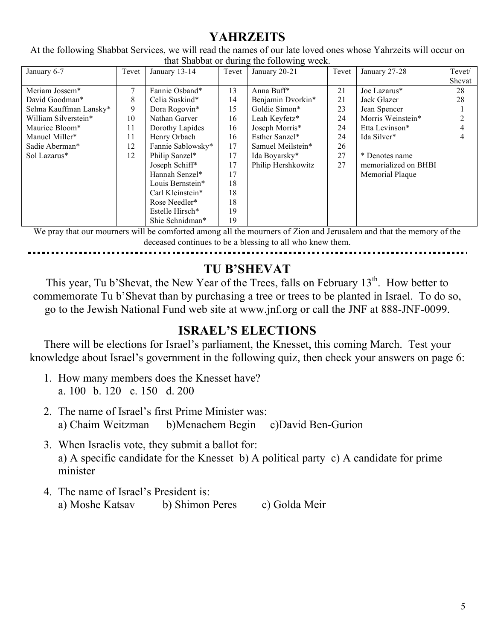# **YAHRZEITS**

At the following Shabbat Services, we will read the names of our late loved ones whose Yahrzeits will occur on that Shabbat or during the following week.

| January 6-7            | Tevet  | January 13-14               | Tevet | January 20-21      | Tevet | January 27-28        | Tevet/ |
|------------------------|--------|-----------------------------|-------|--------------------|-------|----------------------|--------|
|                        |        |                             |       |                    |       |                      | Shevat |
| Meriam Jossem*         | $\tau$ | Fannie Osband*              | 13    | Anna Buff*         | 21    | Joe Lazarus*         | 28     |
| David Goodman*         | 8      | Celia Suskind*              | 14    | Benjamin Dvorkin*  | 21    | Jack Glazer          | 28     |
| Selma Kauffman Lansky* | 9      | Dora Rogovin*               | 15    | Goldie Simon*      | 23    | Jean Spencer         |        |
| William Silverstein*   | 10     | Nathan Garver               | 16    | Leah Keyfetz*      | 24    | Morris Weinstein*    | 2      |
| Maurice Bloom*         | 11     | Dorothy Lapides             | 16    | Joseph Morris*     | 24    | Etta Levinson*       | 4      |
| Manuel Miller*         | 11     | Henry Orbach                | 16    | Esther Sanzel*     | 24    | Ida Silver*          | 4      |
| Sadie Aberman*         | 12     | Fannie Sablowsky*           | 17    | Samuel Meilstein*  | 26    |                      |        |
| Sol Lazarus*           | 12     | Philip Sanzel*              | 17    | Ida Boyarsky*      | 27    | * Denotes name       |        |
|                        |        | Joseph Schiff*              | 17    | Philip Hershkowitz | 27    | memorialized on BHBI |        |
|                        |        | Hannah Senzel*              | 17    |                    |       | Memorial Plaque      |        |
|                        |        | Louis Bernstein*            | 18    |                    |       |                      |        |
|                        |        | Carl Kleinstein*            | 18    |                    |       |                      |        |
|                        |        | Rose Needler*               | 18    |                    |       |                      |        |
|                        |        | Estelle Hirsch <sup>*</sup> | 19    |                    |       |                      |        |
|                        |        | Shie Schnidman*             | 19    |                    |       |                      |        |

We pray that our mourners will be comforted among all the mourners of Zion and Jerusalem and that the memory of the deceased continues to be a blessing to all who knew them.

# **TU B'SHEVAT**

This year, Tu b'Shevat, the New Year of the Trees, falls on February  $13<sup>th</sup>$ . How better to commemorate Tu b'Shevat than by purchasing a tree or trees to be planted in Israel. To do so, go to the Jewish National Fund web site at www.jnf.org or call the JNF at 888-JNF-0099.

# **ISRAEL'S ELECTIONS**

There will be elections for Israel's parliament, the Knesset, this coming March. Test your knowledge about Israel's government in the following quiz, then check your answers on page 6:

- 1. How many members does the Knesset have? a. 100 b. 120 c. 150 d. 200
- 2. The name of Israel's first Prime Minister was: a) Chaim Weitzman b)Menachem Begin c)David Ben-Gurion
- 3. When Israelis vote, they submit a ballot for: a) A specific candidate for the Knesset b) A political party c) A candidate for prime minister
- 4. The name of Israel's President is: a) Moshe Katsav b) Shimon Peres c) Golda Meir